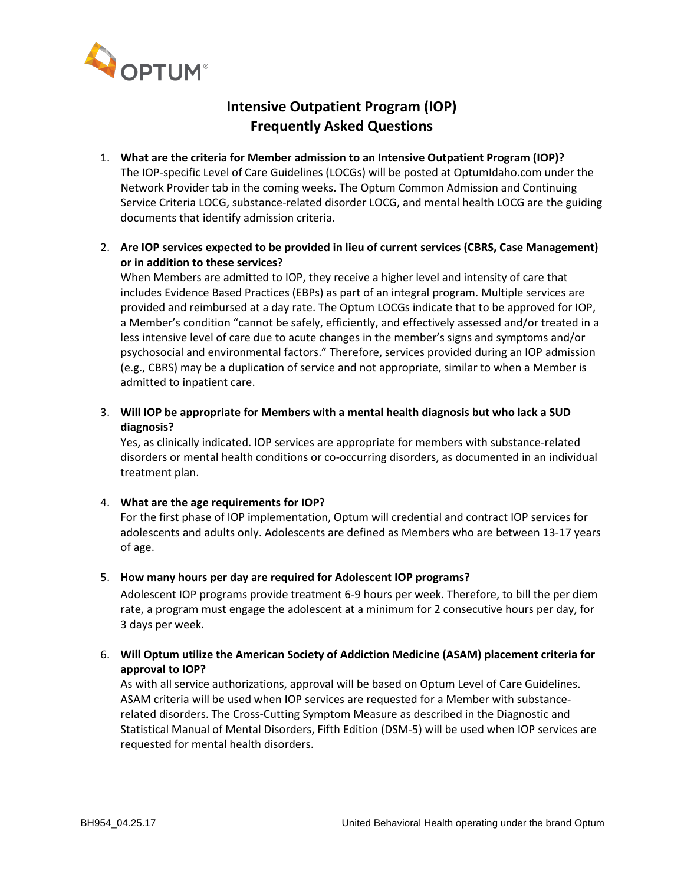

# **Intensive Outpatient Program (IOP) Frequently Asked Questions**

- 1. **What are the criteria for Member admission to an Intensive Outpatient Program (IOP)?** The IOP-specific Level of Care Guidelines (LOCGs) will be posted at OptumIdaho.com under the Network Provider tab in the coming weeks. The Optum Common Admission and Continuing Service Criteria LOCG, substance-related disorder LOCG, and mental health LOCG are the guiding documents that identify admission criteria.
- 2. **Are IOP services expected to be provided in lieu of current services (CBRS, Case Management) or in addition to these services?**

When Members are admitted to IOP, they receive a higher level and intensity of care that includes Evidence Based Practices (EBPs) as part of an integral program. Multiple services are provided and reimbursed at a day rate. The Optum LOCGs indicate that to be approved for IOP, a Member's condition "cannot be safely, efficiently, and effectively assessed and/or treated in a less intensive level of care due to acute changes in the member's signs and symptoms and/or psychosocial and environmental factors." Therefore, services provided during an IOP admission (e.g., CBRS) may be a duplication of service and not appropriate, similar to when a Member is admitted to inpatient care.

3. **Will IOP be appropriate for Members with a mental health diagnosis but who lack a SUD diagnosis?**

Yes, as clinically indicated. IOP services are appropriate for members with substance-related disorders or mental health conditions or co-occurring disorders, as documented in an individual treatment plan.

## 4. **What are the age requirements for IOP?**

For the first phase of IOP implementation, Optum will credential and contract IOP services for adolescents and adults only. Adolescents are defined as Members who are between 13-17 years of age.

#### 5. **How many hours per day are required for Adolescent IOP programs?**

Adolescent IOP programs provide treatment 6-9 hours per week. Therefore, to bill the per diem rate, a program must engage the adolescent at a minimum for 2 consecutive hours per day, for 3 days per week.

## 6. **Will Optum utilize the American Society of Addiction Medicine (ASAM) placement criteria for approval to IOP?**

As with all service authorizations, approval will be based on Optum Level of Care Guidelines. ASAM criteria will be used when IOP services are requested for a Member with substancerelated disorders. The Cross-Cutting Symptom Measure as described in the Diagnostic and Statistical Manual of Mental Disorders, Fifth Edition (DSM-5) will be used when IOP services are requested for mental health disorders.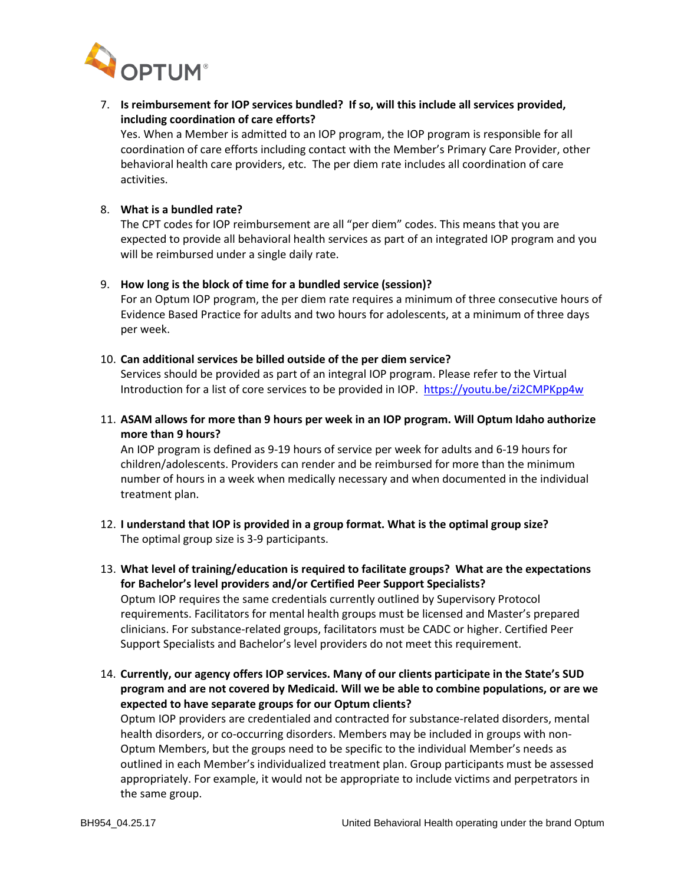

7. **Is reimbursement for IOP services bundled? If so, will this include all services provided, including coordination of care efforts?**

Yes. When a Member is admitted to an IOP program, the IOP program is responsible for all coordination of care efforts including contact with the Member's Primary Care Provider, other behavioral health care providers, etc. The per diem rate includes all coordination of care activities.

## 8. **What is a bundled rate?**

The CPT codes for IOP reimbursement are all "per diem" codes. This means that you are expected to provide all behavioral health services as part of an integrated IOP program and you will be reimbursed under a single daily rate.

#### 9. **How long is the block of time for a bundled service (session)?**

For an Optum IOP program, the per diem rate requires a minimum of three consecutive hours of Evidence Based Practice for adults and two hours for adolescents, at a minimum of three days per week.

#### 10. **Can additional services be billed outside of the per diem service?**

Services should be provided as part of an integral IOP program. Please refer to the Virtual Introduction for a list of core services to be provided in IOP.<https://youtu.be/zi2CMPKpp4w>

11. **ASAM allows for more than 9 hours per week in an IOP program. Will Optum Idaho authorize more than 9 hours?** 

An IOP program is defined as 9-19 hours of service per week for adults and 6-19 hours for children/adolescents. Providers can render and be reimbursed for more than the minimum number of hours in a week when medically necessary and when documented in the individual treatment plan.

12. **I understand that IOP is provided in a group format. What is the optimal group size?**  The optimal group size is 3-9 participants.

13. **What level of training/education is required to facilitate groups? What are the expectations for Bachelor's level providers and/or Certified Peer Support Specialists?**  Optum IOP requires the same credentials currently outlined by Supervisory Protocol requirements. Facilitators for mental health groups must be licensed and Master's prepared clinicians. For substance-related groups, facilitators must be CADC or higher. Certified Peer Support Specialists and Bachelor's level providers do not meet this requirement.

14. **Currently, our agency offers IOP services. Many of our clients participate in the State's SUD program and are not covered by Medicaid. Will we be able to combine populations, or are we expected to have separate groups for our Optum clients?**

Optum IOP providers are credentialed and contracted for substance-related disorders, mental health disorders, or co-occurring disorders. Members may be included in groups with non-Optum Members, but the groups need to be specific to the individual Member's needs as outlined in each Member's individualized treatment plan. Group participants must be assessed appropriately. For example, it would not be appropriate to include victims and perpetrators in the same group.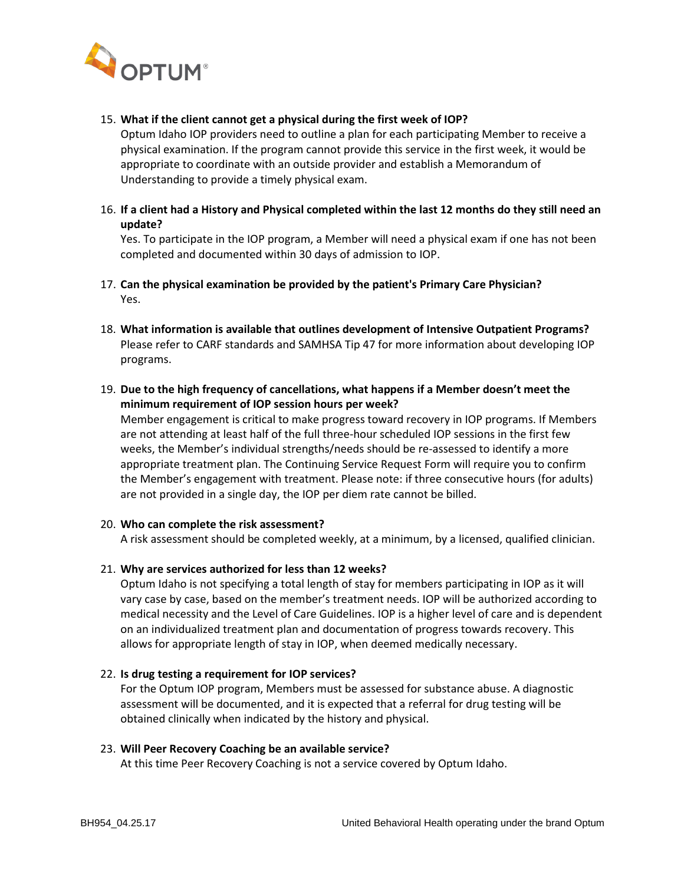

#### 15. **What if the client cannot get a physical during the first week of IOP?**

Optum Idaho IOP providers need to outline a plan for each participating Member to receive a physical examination. If the program cannot provide this service in the first week, it would be appropriate to coordinate with an outside provider and establish a Memorandum of Understanding to provide a timely physical exam.

16. **If a client had a History and Physical completed within the last 12 months do they still need an update?**

Yes. To participate in the IOP program, a Member will need a physical exam if one has not been completed and documented within 30 days of admission to IOP.

- 17. **Can the physical examination be provided by the patient's Primary Care Physician?** Yes.
- 18. **What information is available that outlines development of Intensive Outpatient Programs?**  Please refer to CARF standards and SAMHSA Tip 47 for more information about developing IOP programs.
- 19. **Due to the high frequency of cancellations, what happens if a Member doesn't meet the minimum requirement of IOP session hours per week?**

Member engagement is critical to make progress toward recovery in IOP programs. If Members are not attending at least half of the full three-hour scheduled IOP sessions in the first few weeks, the Member's individual strengths/needs should be re-assessed to identify a more appropriate treatment plan. The Continuing Service Request Form will require you to confirm the Member's engagement with treatment. Please note: if three consecutive hours (for adults) are not provided in a single day, the IOP per diem rate cannot be billed.

#### 20. **Who can complete the risk assessment?**

A risk assessment should be completed weekly, at a minimum, by a licensed, qualified clinician.

## 21. **Why are services authorized for less than 12 weeks?**

Optum Idaho is not specifying a total length of stay for members participating in IOP as it will vary case by case, based on the member's treatment needs. IOP will be authorized according to medical necessity and the Level of Care Guidelines. IOP is a higher level of care and is dependent on an individualized treatment plan and documentation of progress towards recovery. This allows for appropriate length of stay in IOP, when deemed medically necessary.

#### 22. **Is drug testing a requirement for IOP services?**

For the Optum IOP program, Members must be assessed for substance abuse. A diagnostic assessment will be documented, and it is expected that a referral for drug testing will be obtained clinically when indicated by the history and physical.

#### 23. **Will Peer Recovery Coaching be an available service?**

At this time Peer Recovery Coaching is not a service covered by Optum Idaho.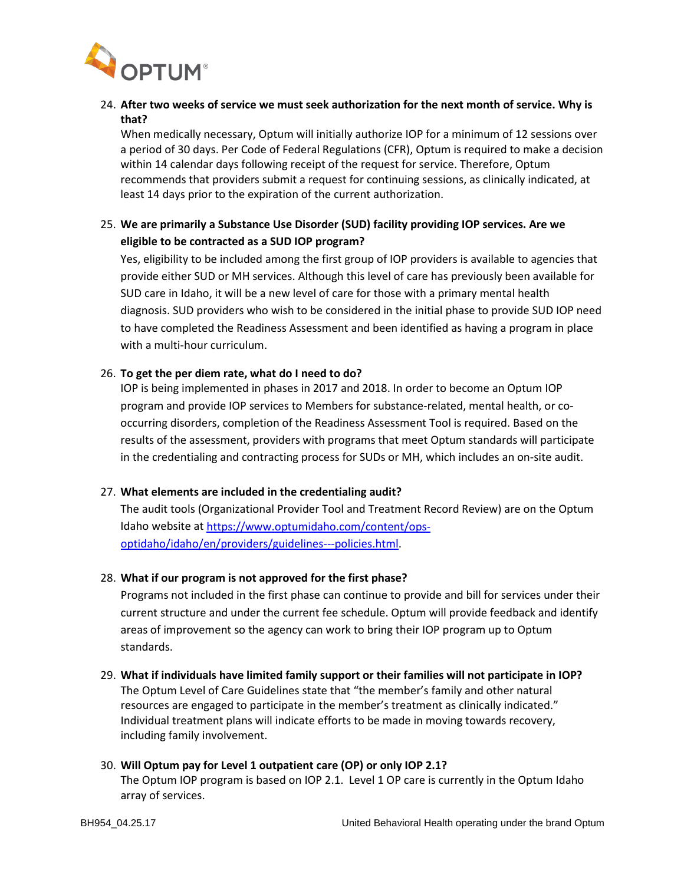

# 24. **After two weeks of service we must seek authorization for the next month of service. Why is that?**

When medically necessary, Optum will initially authorize IOP for a minimum of 12 sessions over a period of 30 days. Per Code of Federal Regulations (CFR), Optum is required to make a decision within 14 calendar days following receipt of the request for service. Therefore, Optum recommends that providers submit a request for continuing sessions, as clinically indicated, at least 14 days prior to the expiration of the current authorization.

# 25. **We are primarily a Substance Use Disorder (SUD) facility providing IOP services. Are we eligible to be contracted as a SUD IOP program?**

Yes, eligibility to be included among the first group of IOP providers is available to agencies that provide either SUD or MH services. Although this level of care has previously been available for SUD care in Idaho, it will be a new level of care for those with a primary mental health diagnosis. SUD providers who wish to be considered in the initial phase to provide SUD IOP need to have completed the Readiness Assessment and been identified as having a program in place with a multi-hour curriculum.

## 26. **To get the per diem rate, what do I need to do?**

IOP is being implemented in phases in 2017 and 2018. In order to become an Optum IOP program and provide IOP services to Members for substance-related, mental health, or cooccurring disorders, completion of the Readiness Assessment Tool is required. Based on the results of the assessment, providers with programs that meet Optum standards will participate in the credentialing and contracting process for SUDs or MH, which includes an on-site audit.

# 27. **What elements are included in the credentialing audit?**

The audit tools (Organizational Provider Tool and Treatment Record Review) are on the Optum Idaho website at [https://www.optumidaho.com/content/ops](https://www.optumidaho.com/content/ops-optidaho/idaho/en/providers/guidelines---policies.html)[optidaho/idaho/en/providers/guidelines---policies.html.](https://www.optumidaho.com/content/ops-optidaho/idaho/en/providers/guidelines---policies.html)

## 28. **What if our program is not approved for the first phase?**

Programs not included in the first phase can continue to provide and bill for services under their current structure and under the current fee schedule. Optum will provide feedback and identify areas of improvement so the agency can work to bring their IOP program up to Optum standards.

29. **What if individuals have limited family support or their families will not participate in IOP?** The Optum Level of Care Guidelines state that "the member's family and other natural resources are engaged to participate in the member's treatment as clinically indicated." Individual treatment plans will indicate efforts to be made in moving towards recovery, including family involvement.

## 30. **Will Optum pay for Level 1 outpatient care (OP) or only IOP 2.1?**

The Optum IOP program is based on IOP 2.1. Level 1 OP care is currently in the Optum Idaho array of services.